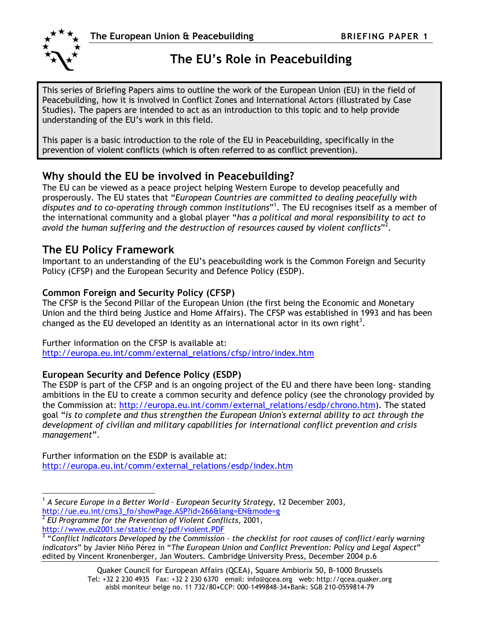

 $\overline{a}$ 

# The EU's Role in Peacebuilding

This series of Briefing Papers aims to outline the work of the European Union (EU) in the field of Peacebuilding, how it is involved in Conflict Zones and International Actors (illustrated by Case Studies). The papers are intended to act as an introduction to this topic and to help provide understanding of the EU's work in this field.

This paper is a basic introduction to the role of the EU in Peacebuilding, specifically in the prevention of violent conflicts (which is often referred to as conflict prevention).

## Why should the EU be involved in Peacebuilding?

The EU can be viewed as a peace project helping Western Europe to develop peacefully and prosperously. The EU states that "European Countries are committed to dealing peacefully with disputes and to co-operating through common institutions"<sup>1</sup>. The EU recognises itself as a member of the international community and a global player "has a political and moral responsibility to act to avoid the human suffering and the destruction of resources caused by violent conflicts" $^2.$ 

## The EU Policy Framework

Important to an understanding of the EU's peacebuilding work is the Common Foreign and Security Policy (CFSP) and the European Security and Defence Policy (ESDP).

## Common Foreign and Security Policy (CFSP)

The CFSP is the Second Pillar of the European Union (the first being the Economic and Monetary Union and the third being Justice and Home Affairs). The CFSP was established in 1993 and has been changed as the EU developed an identity as an international actor in its own right<sup>3</sup>.

### Further information on the CFSP is available at:

http://europa.eu.int/comm/external\_relations/cfsp/intro/index.htm

## European Security and Defence Policy (ESDP)

The ESDP is part of the CFSP and is an ongoing project of the EU and there have been long- standing ambitions in the EU to create a common security and defence policy (see the chronology provided by the Commission at: http://europa.eu.int/comm/external\_relations/esdp/chrono.htm). The stated goal "is to complete and thus strengthen the European Union's external ability to act through the development of civilian and military capabilities for international conflict prevention and crisis management".

Further information on the ESDP is available at: http://europa.eu.int/comm/external\_relations/esdp/index.htm

<sup>1</sup> A Secure Europe in a Better World – European Security Strategy, 12 December 2003, http://ue.eu.int/cms3\_fo/showPage.ASP?id=266&lang=EN&mode=g

<sup>2</sup> EU Programme for the Prevention of Violent Conflicts, 2001, http://www.eu2001.se/static/eng/pdf/violent.PDF

 $3$  "Conflict Indicators Developed by the Commission - the checklist for root causes of conflict/early warning indicators" by Javier Niño Pérez in "The European Union and Conflict Prevention: Policy and Legal Aspect" edited by Vincent Kronenberger, Jan Wouters. Cambridge University Press, December 2004 p.6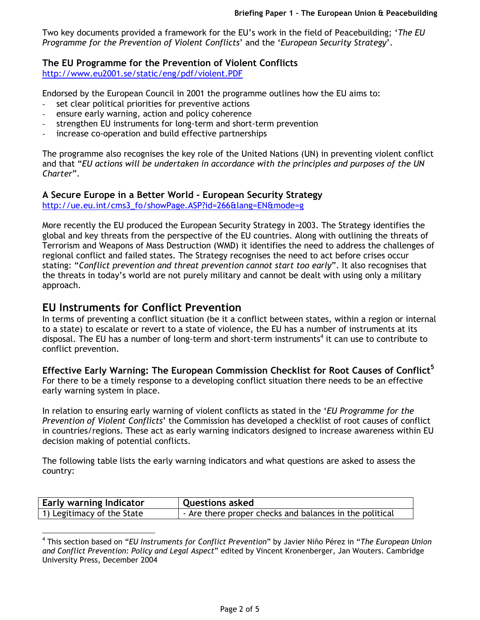Two key documents provided a framework for the EU's work in the field of Peacebuilding; 'The EU Programme for the Prevention of Violent Conflicts' and the 'European Security Strategy'.

## The EU Programme for the Prevention of Violent Conflicts

http://www.eu2001.se/static/eng/pdf/violent.PDF

Endorsed by the European Council in 2001 the programme outlines how the EU aims to:

- set clear political priorities for preventive actions
- ensure early warning, action and policy coherence
- strengthen EU instruments for long-term and short-term prevention
- increase co-operation and build effective partnerships

The programme also recognises the key role of the United Nations (UN) in preventing violent conflict and that "EU actions will be undertaken in accordance with the principles and purposes of the UN Charter".

## A Secure Europe in a Better World - European Security Strategy

http://ue.eu.int/cms3\_fo/showPage.ASP?id=266&lang=EN&mode=g

More recently the EU produced the European Security Strategy in 2003. The Strategy identifies the global and key threats from the perspective of the EU countries. Along with outlining the threats of Terrorism and Weapons of Mass Destruction (WMD) it identifies the need to address the challenges of regional conflict and failed states. The Strategy recognises the need to act before crises occur stating: "Conflict prevention and threat prevention cannot start too early". It also recognises that the threats in today's world are not purely military and cannot be dealt with using only a military approach.

## EU Instruments for Conflict Prevention

 $\overline{a}$ 

In terms of preventing a conflict situation (be it a conflict between states, within a region or internal to a state) to escalate or revert to a state of violence, the EU has a number of instruments at its disposal. The EU has a number of long-term and short-term instruments<sup>4</sup> it can use to contribute to conflict prevention.

Effective Early Warning: The European Commission Checklist for Root Causes of Conflict<sup>5</sup> For there to be a timely response to a developing conflict situation there needs to be an effective early warning system in place.

In relation to ensuring early warning of violent conflicts as stated in the 'EU Programme for the Prevention of Violent Conflicts' the Commission has developed a checklist of root causes of conflict in countries/regions. These act as early warning indicators designed to increase awareness within EU decision making of potential conflicts.

The following table lists the early warning indicators and what questions are asked to assess the country:

| <b>Early warning Indicator</b> | Questions asked                                         |
|--------------------------------|---------------------------------------------------------|
| 1) Legitimacy of the State     | - Are there proper checks and balances in the political |

<sup>&</sup>lt;sup>4</sup> This section based on "EU Instruments for Conflict Prevention" by Javier Niño Pérez in "The European Union and Conflict Prevention: Policy and Legal Aspect" edited by Vincent Kronenberger, Jan Wouters. Cambridge University Press, December 2004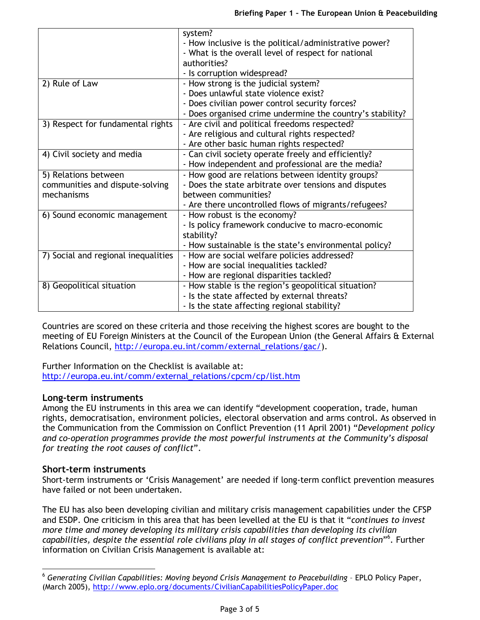|                                     | system?                                                   |
|-------------------------------------|-----------------------------------------------------------|
|                                     | - How inclusive is the political/administrative power?    |
|                                     | - What is the overall level of respect for national       |
|                                     | authorities?                                              |
|                                     | - Is corruption widespread?                               |
| 2) Rule of Law                      | - How strong is the judicial system?                      |
|                                     | - Does unlawful state violence exist?                     |
|                                     | - Does civilian power control security forces?            |
|                                     | - Does organised crime undermine the country's stability? |
| 3) Respect for fundamental rights   | - Are civil and political freedoms respected?             |
|                                     | - Are religious and cultural rights respected?            |
|                                     | - Are other basic human rights respected?                 |
| 4) Civil society and media          | - Can civil society operate freely and efficiently?       |
|                                     | - How independent and professional are the media?         |
| 5) Relations between                | - How good are relations between identity groups?         |
| communities and dispute-solving     | - Does the state arbitrate over tensions and disputes     |
| mechanisms                          | between communities?                                      |
|                                     | - Are there uncontrolled flows of migrants/refugees?      |
| 6) Sound economic management        | - How robust is the economy?                              |
|                                     | - Is policy framework conducive to macro-economic         |
|                                     | stability?                                                |
|                                     | - How sustainable is the state's environmental policy?    |
| 7) Social and regional inequalities | - How are social welfare policies addressed?              |
|                                     | - How are social inequalities tackled?                    |
|                                     | - How are regional disparities tackled?                   |
| 8) Geopolitical situation           | - How stable is the region's geopolitical situation?      |
|                                     | - Is the state affected by external threats?              |
|                                     | - Is the state affecting regional stability?              |

Countries are scored on these criteria and those receiving the highest scores are bought to the meeting of EU Foreign Ministers at the Council of the European Union (the General Affairs & External Relations Council, http://europa.eu.int/comm/external\_relations/gac/).

Further Information on the Checklist is available at: http://europa.eu.int/comm/external\_relations/cpcm/cp/list.htm

#### Long-term instruments

Among the EU instruments in this area we can identify "development cooperation, trade, human rights, democratisation, environment policies, electoral observation and arms control. As observed in the Communication from the Commission on Conflict Prevention (11 April 2001) "Development policy and co-operation programmes provide the most powerful instruments at the Community's disposal for treating the root causes of conflict".

#### Short-term instruments

 $\overline{a}$ 

Short-term instruments or 'Crisis Management' are needed if long-term conflict prevention measures have failed or not been undertaken.

The EU has also been developing civilian and military crisis management capabilities under the CFSP and ESDP. One criticism in this area that has been levelled at the EU is that it "continues to invest more time and money developing its military crisis capabilities than developing its civilian capabilities, despite the essential role civilians play in all stages of conflict prevention"<sup>6</sup>. Further information on Civilian Crisis Management is available at:

<sup>6</sup> Generating Civilian Capabilities: Moving beyond Crisis Management to Peacebuilding – EPLO Policy Paper, (March 2005), http://www.eplo.org/documents/CivilianCapabilitiesPolicyPaper.doc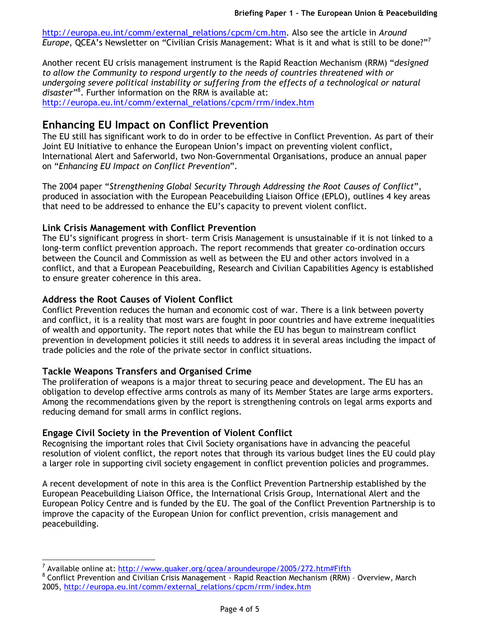http://europa.eu.int/comm/external\_relations/cpcm/cm.htm. Also see the article in Around Europe, QCEA's Newsletter on "Civilian Crisis Management: What is it and what is still to be done?"<sup>7</sup>

Another recent EU crisis management instrument is the Rapid Reaction Mechanism (RRM) "designed to allow the Community to respond urgently to the needs of countries threatened with or undergoing severe political instability or suffering from the effects of a technological or natural disaster"<sup>8</sup>. Further information on the RRM is available at: http://europa.eu.int/comm/external\_relations/cpcm/rrm/index.htm

## Enhancing EU Impact on Conflict Prevention

The EU still has significant work to do in order to be effective in Conflict Prevention. As part of their Joint EU Initiative to enhance the European Union's impact on preventing violent conflict, International Alert and Saferworld, two Non-Governmental Organisations, produce an annual paper on "Enhancing EU Impact on Conflict Prevention".

The 2004 paper "Strengthening Global Security Through Addressing the Root Causes of Conflict", produced in association with the European Peacebuilding Liaison Office (EPLO), outlines 4 key areas that need to be addressed to enhance the EU's capacity to prevent violent conflict.

### Link Crisis Management with Conflict Prevention

The EU's significant progress in short- term Crisis Management is unsustainable if it is not linked to a long-term conflict prevention approach. The report recommends that greater co-ordination occurs between the Council and Commission as well as between the EU and other actors involved in a conflict, and that a European Peacebuilding, Research and Civilian Capabilities Agency is established to ensure greater coherence in this area.

#### Address the Root Causes of Violent Conflict

Conflict Prevention reduces the human and economic cost of war. There is a link between poverty and conflict, it is a reality that most wars are fought in poor countries and have extreme inequalities of wealth and opportunity. The report notes that while the EU has begun to mainstream conflict prevention in development policies it still needs to address it in several areas including the impact of trade policies and the role of the private sector in conflict situations.

### Tackle Weapons Transfers and Organised Crime

 $\overline{a}$ 

The proliferation of weapons is a major threat to securing peace and development. The EU has an obligation to develop effective arms controls as many of its Member States are large arms exporters. Among the recommendations given by the report is strengthening controls on legal arms exports and reducing demand for small arms in conflict regions.

### Engage Civil Society in the Prevention of Violent Conflict

Recognising the important roles that Civil Society organisations have in advancing the peaceful resolution of violent conflict, the report notes that through its various budget lines the EU could play a larger role in supporting civil society engagement in conflict prevention policies and programmes.

A recent development of note in this area is the Conflict Prevention Partnership established by the European Peacebuilding Liaison Office, the International Crisis Group, International Alert and the European Policy Centre and is funded by the EU. The goal of the Conflict Prevention Partnership is to improve the capacity of the European Union for conflict prevention, crisis management and peacebuilding.

<sup>7</sup> Available online at: http://www.quaker.org/qcea/aroundeurope/2005/272.htm#Fifth

<sup>&</sup>lt;sup>8</sup> Conflict Prevention and Civilian Crisis Management - Rapid Reaction Mechanism (RRM) - Overview, March 2005, http://europa.eu.int/comm/external\_relations/cpcm/rrm/index.htm